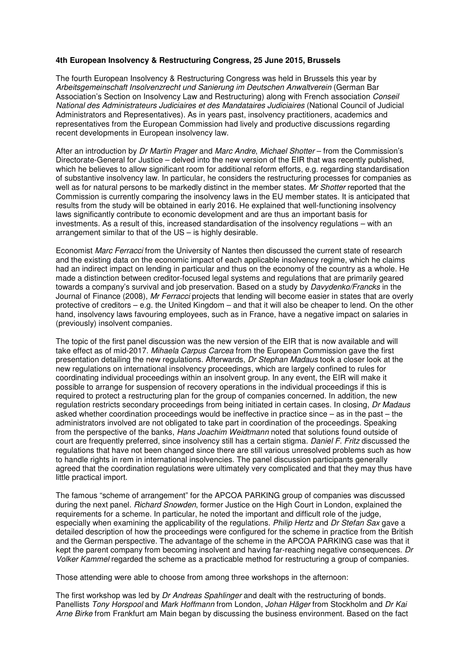## **4th European Insolvency & Restructuring Congress, 25 June 2015, Brussels**

The fourth European Insolvency & Restructuring Congress was held in Brussels this year by Arbeitsgemeinschaft Insolvenzrecht und Sanierung im Deutschen Anwaltverein (German Bar Association's Section on Insolvency Law and Restructuring) along with French association Conseil National des Administrateurs Judiciaires et des Mandataires Judiciaires (National Council of Judicial Administrators and Representatives). As in years past, insolvency practitioners, academics and representatives from the European Commission had lively and productive discussions regarding recent developments in European insolvency law.

After an introduction by Dr Martin Prager and Marc Andre, Michael Shotter – from the Commission's Directorate-General for Justice – delved into the new version of the EIR that was recently published, which he believes to allow significant room for additional reform efforts, e.g. regarding standardisation of substantive insolvency law. In particular, he considers the restructuring processes for companies as well as for natural persons to be markedly distinct in the member states. Mr Shotter reported that the Commission is currently comparing the insolvency laws in the EU member states. It is anticipated that results from the study will be obtained in early 2016. He explained that well-functioning insolvency laws significantly contribute to economic development and are thus an important basis for investments. As a result of this, increased standardisation of the insolvency regulations – with an arrangement similar to that of the US – is highly desirable.

Economist Marc Ferracci from the University of Nantes then discussed the current state of research and the existing data on the economic impact of each applicable insolvency regime, which he claims had an indirect impact on lending in particular and thus on the economy of the country as a whole. He made a distinction between creditor-focused legal systems and regulations that are primarily geared towards a company's survival and job preservation. Based on a study by Davydenko/Francks in the Journal of Finance (2008), Mr Ferracci projects that lending will become easier in states that are overly protective of creditors – e.g. the United Kingdom – and that it will also be cheaper to lend. On the other hand, insolvency laws favouring employees, such as in France, have a negative impact on salaries in (previously) insolvent companies.

The topic of the first panel discussion was the new version of the EIR that is now available and will take effect as of mid-2017. Mihaela Carpus Carcea from the European Commission gave the first presentation detailing the new regulations. Afterwards, Dr Stephan Madaus took a closer look at the new regulations on international insolvency proceedings, which are largely confined to rules for coordinating individual proceedings within an insolvent group. In any event, the EIR will make it possible to arrange for suspension of recovery operations in the individual proceedings if this is required to protect a restructuring plan for the group of companies concerned. In addition, the new regulation restricts secondary proceedings from being initiated in certain cases. In closing, Dr Madaus asked whether coordination proceedings would be ineffective in practice since – as in the past – the administrators involved are not obligated to take part in coordination of the proceedings. Speaking from the perspective of the banks, Hans Joachim Weidtmann noted that solutions found outside of court are frequently preferred, since insolvency still has a certain stigma. Daniel F. Fritz discussed the regulations that have not been changed since there are still various unresolved problems such as how to handle rights in rem in international insolvencies. The panel discussion participants generally agreed that the coordination regulations were ultimately very complicated and that they may thus have little practical import.

The famous "scheme of arrangement" for the APCOA PARKING group of companies was discussed during the next panel. Richard Snowden, former Justice on the High Court in London, explained the requirements for a scheme. In particular, he noted the important and difficult role of the judge, especially when examining the applicability of the regulations. Philip Hertz and Dr Stefan Sax gave a detailed description of how the proceedings were configured for the scheme in practice from the British and the German perspective. The advantage of the scheme in the APCOA PARKING case was that it kept the parent company from becoming insolvent and having far-reaching negative consequences. Dr Volker Kammel regarded the scheme as a practicable method for restructuring a group of companies.

Those attending were able to choose from among three workshops in the afternoon:

The first workshop was led by Dr Andreas Spahlinger and dealt with the restructuring of bonds. Panellists Tony Horspool and Mark Hoffmann from London, Johan Häger from Stockholm and Dr Kai Arne Birke from Frankfurt am Main began by discussing the business environment. Based on the fact